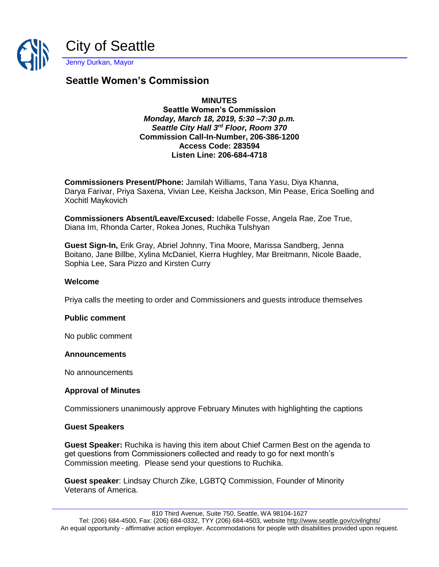

# **Seattle Women's Commission**

# **MINUTES**

## **Seattle Women's Commission** *Monday, March 18, 2019, 5:30 –7:30 p.m. Seattle City Hall 3rd Floor, Room 370* **Commission Call-In-Number, 206-386-1200 Access Code: 283594 Listen Line: 206-684-4718**

**Commissioners Present/Phone:** Jamilah Williams, Tana Yasu, Diya Khanna, Darya Farivar, Priya Saxena, Vivian Lee, Keisha Jackson, Min Pease, Erica Soelling and Xochitl Maykovich

**Commissioners Absent/Leave/Excused:** Idabelle Fosse, Angela Rae, Zoe True, Diana Im, Rhonda Carter, Rokea Jones, Ruchika Tulshyan

**Guest Sign-In,** Erik Gray, Abriel Johnny, Tina Moore, Marissa Sandberg, Jenna Boitano, Jane Billbe, Xylina McDaniel, Kierra Hughley, Mar Breitmann, Nicole Baade, Sophia Lee, Sara Pizzo and Kirsten Curry

## **Welcome**

Priya calls the meeting to order and Commissioners and guests introduce themselves

## **Public comment**

No public comment

## **Announcements**

No announcements

## **Approval of Minutes**

Commissioners unanimously approve February Minutes with highlighting the captions

## **Guest Speakers**

**Guest Speaker:** Ruchika is having this item about Chief Carmen Best on the agenda to get questions from Commissioners collected and ready to go for next month's Commission meeting. Please send your questions to Ruchika.

**Guest speaker**: Lindsay Church Zike, LGBTQ Commission, Founder of Minority Veterans of America.

810 Third Avenue, Suite 750, Seattle, WA 98104-1627